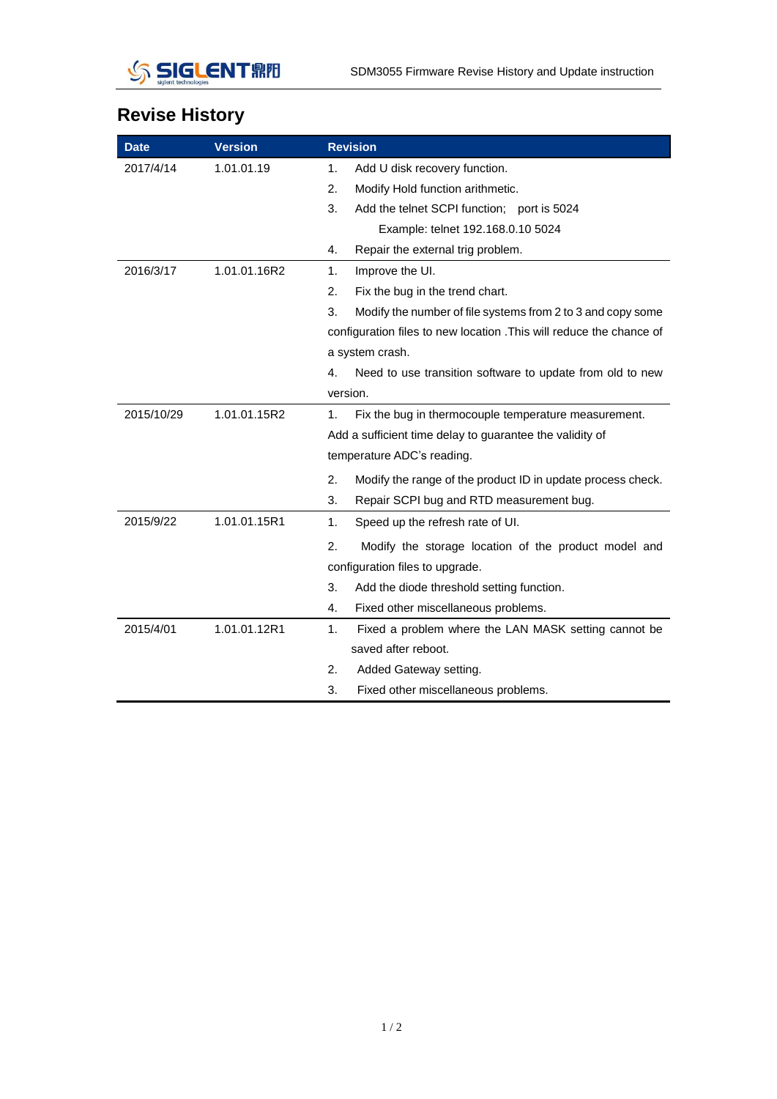

## **Revise History**

| <b>Date</b> | <b>Version</b> |                                                                      | <b>Revision</b>                                             |  |
|-------------|----------------|----------------------------------------------------------------------|-------------------------------------------------------------|--|
| 2017/4/14   | 1.01.01.19     | 1.                                                                   | Add U disk recovery function.                               |  |
|             |                | 2.                                                                   | Modify Hold function arithmetic.                            |  |
|             |                | 3.                                                                   | Add the telnet SCPI function; port is 5024                  |  |
|             |                |                                                                      | Example: telnet 192.168.0.10 5024                           |  |
|             |                | 4.                                                                   | Repair the external trig problem.                           |  |
| 2016/3/17   | 1.01.01.16R2   | 1.                                                                   | Improve the UI.                                             |  |
|             |                | 2.                                                                   | Fix the bug in the trend chart.                             |  |
|             |                | 3.                                                                   | Modify the number of file systems from 2 to 3 and copy some |  |
|             |                | configuration files to new location . This will reduce the chance of |                                                             |  |
|             |                | a system crash.                                                      |                                                             |  |
|             |                | 4.                                                                   | Need to use transition software to update from old to new   |  |
|             |                | version.                                                             |                                                             |  |
| 2015/10/29  | 1.01.01.15R2   | 1.                                                                   | Fix the bug in thermocouple temperature measurement.        |  |
|             |                | Add a sufficient time delay to guarantee the validity of             |                                                             |  |
|             |                | temperature ADC's reading.                                           |                                                             |  |
|             |                | 2.                                                                   | Modify the range of the product ID in update process check. |  |
|             |                | 3.                                                                   | Repair SCPI bug and RTD measurement bug.                    |  |
| 2015/9/22   | 1.01.01.15R1   | 1.                                                                   | Speed up the refresh rate of UI.                            |  |
|             |                | 2.                                                                   | Modify the storage location of the product model and        |  |
|             |                | configuration files to upgrade.                                      |                                                             |  |
|             |                | 3.                                                                   | Add the diode threshold setting function.                   |  |
|             |                | 4.                                                                   | Fixed other miscellaneous problems.                         |  |
| 2015/4/01   | 1.01.01.12R1   | $\mathbf{1}$ .                                                       | Fixed a problem where the LAN MASK setting cannot be        |  |
|             |                |                                                                      | saved after reboot.                                         |  |
|             |                | 2.                                                                   | Added Gateway setting.                                      |  |
|             |                | 3.                                                                   | Fixed other miscellaneous problems.                         |  |